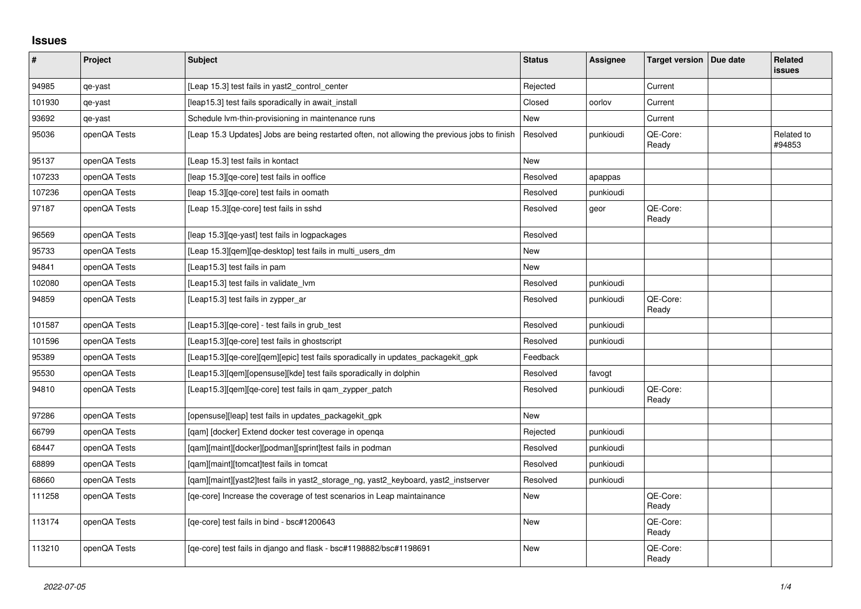## **Issues**

| $\vert$ # | Project      | Subject                                                                                      | <b>Status</b> | Assignee  | Target version   Due date | Related<br>issues    |
|-----------|--------------|----------------------------------------------------------------------------------------------|---------------|-----------|---------------------------|----------------------|
| 94985     | qe-yast      | [Leap 15.3] test fails in yast2 control center                                               | Rejected      |           | Current                   |                      |
| 101930    | qe-yast      | [leap15.3] test fails sporadically in await install                                          | Closed        | oorlov    | Current                   |                      |
| 93692     | qe-yast      | Schedule Ivm-thin-provisioning in maintenance runs                                           | <b>New</b>    |           | Current                   |                      |
| 95036     | openQA Tests | [Leap 15.3 Updates] Jobs are being restarted often, not allowing the previous jobs to finish | Resolved      | punkioudi | QE-Core:<br>Ready         | Related to<br>#94853 |
| 95137     | openQA Tests | [Leap 15.3] test fails in kontact                                                            | <b>New</b>    |           |                           |                      |
| 107233    | openQA Tests | [leap 15.3][ge-core] test fails in ooffice                                                   | Resolved      | apappas   |                           |                      |
| 107236    | openQA Tests | [leap 15.3][qe-core] test fails in oomath                                                    | Resolved      | punkioudi |                           |                      |
| 97187     | openQA Tests | [Leap 15.3][qe-core] test fails in sshd                                                      | Resolved      | geor      | QE-Core:<br>Ready         |                      |
| 96569     | openQA Tests | [leap 15.3][qe-yast] test fails in logpackages                                               | Resolved      |           |                           |                      |
| 95733     | openQA Tests | [Leap 15.3][qem][qe-desktop] test fails in multi_users_dm                                    | New           |           |                           |                      |
| 94841     | openQA Tests | [Leap15.3] test fails in pam                                                                 | <b>New</b>    |           |                           |                      |
| 102080    | openQA Tests | [Leap15.3] test fails in validate_lvm                                                        | Resolved      | punkioudi |                           |                      |
| 94859     | openQA Tests | [Leap15.3] test fails in zypper_ar                                                           | Resolved      | punkioudi | QE-Core:<br>Ready         |                      |
| 101587    | openQA Tests | [Leap15.3][qe-core] - test fails in grub_test                                                | Resolved      | punkioudi |                           |                      |
| 101596    | openQA Tests | [Leap15.3][qe-core] test fails in ghostscript                                                | Resolved      | punkioudi |                           |                      |
| 95389     | openQA Tests | [Leap15.3][qe-core][qem][epic] test fails sporadically in updates_packagekit_gpk             | Feedback      |           |                           |                      |
| 95530     | openQA Tests | [Leap15.3][qem][opensuse][kde] test fails sporadically in dolphin                            | Resolved      | favogt    |                           |                      |
| 94810     | openQA Tests | [Leap15.3][qem][qe-core] test fails in qam_zypper_patch                                      | Resolved      | punkioudi | QE-Core:<br>Ready         |                      |
| 97286     | openQA Tests | [opensuse][leap] test fails in updates packagekit gpk                                        | New           |           |                           |                      |
| 66799     | openQA Tests | [gam] [docker] Extend docker test coverage in openga                                         | Rejected      | punkioudi |                           |                      |
| 68447     | openQA Tests | [qam][maint][docker][podman][sprint]test fails in podman                                     | Resolved      | punkioudi |                           |                      |
| 68899     | openQA Tests | [gam][maint][tomcat]test fails in tomcat                                                     | Resolved      | punkioudi |                           |                      |
| 68660     | openQA Tests | [qam][maint][yast2]test fails in yast2_storage_ng, yast2_keyboard, yast2_instserver          | Resolved      | punkioudi |                           |                      |
| 111258    | openQA Tests | [ge-core] Increase the coverage of test scenarios in Leap maintainance                       | <b>New</b>    |           | QE-Core:<br>Ready         |                      |
| 113174    | openQA Tests | [qe-core] test fails in bind - bsc#1200643                                                   | <b>New</b>    |           | QE-Core:<br>Ready         |                      |
| 113210    | openQA Tests | [qe-core] test fails in django and flask - bsc#1198882/bsc#1198691                           | <b>New</b>    |           | QE-Core:<br>Ready         |                      |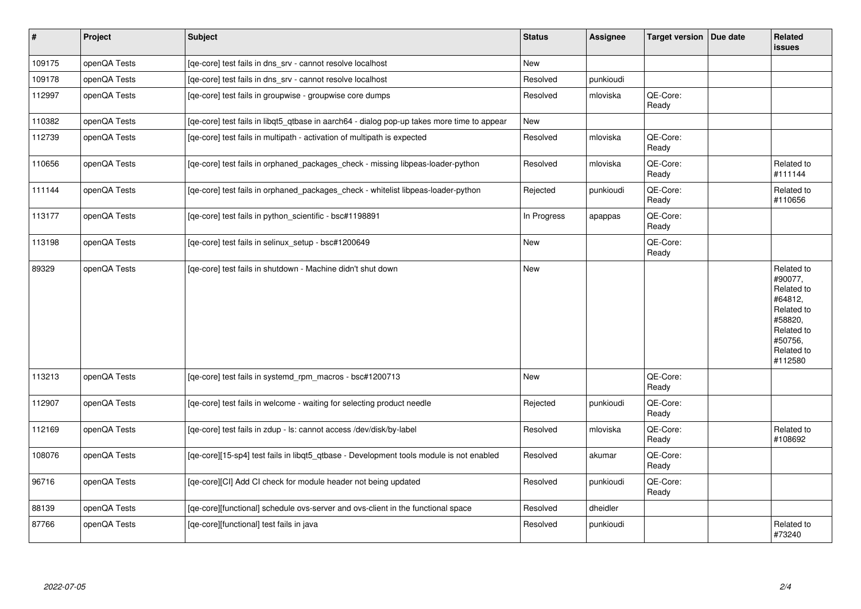| $\vert$ # | Project      | <b>Subject</b>                                                                             | <b>Status</b> | Assignee  | Target version   Due date | <b>Related</b><br><b>issues</b>                                                                                           |
|-----------|--------------|--------------------------------------------------------------------------------------------|---------------|-----------|---------------------------|---------------------------------------------------------------------------------------------------------------------------|
| 109175    | openQA Tests | [ge-core] test fails in dns srv - cannot resolve localhost                                 | New           |           |                           |                                                                                                                           |
| 109178    | openQA Tests | [ge-core] test fails in dns srv - cannot resolve localhost                                 | Resolved      | punkioudi |                           |                                                                                                                           |
| 112997    | openQA Tests | [qe-core] test fails in groupwise - groupwise core dumps                                   | Resolved      | mloviska  | QE-Core:<br>Ready         |                                                                                                                           |
| 110382    | openQA Tests | [qe-core] test fails in libqt5_qtbase in aarch64 - dialog pop-up takes more time to appear | New           |           |                           |                                                                                                                           |
| 112739    | openQA Tests | [qe-core] test fails in multipath - activation of multipath is expected                    | Resolved      | mloviska  | QE-Core:<br>Ready         |                                                                                                                           |
| 110656    | openQA Tests | [qe-core] test fails in orphaned_packages_check - missing libpeas-loader-python            | Resolved      | mloviska  | QE-Core:<br>Ready         | Related to<br>#111144                                                                                                     |
| 111144    | openQA Tests | [qe-core] test fails in orphaned_packages_check - whitelist libpeas-loader-python          | Rejected      | punkioudi | QE-Core:<br>Ready         | Related to<br>#110656                                                                                                     |
| 113177    | openQA Tests | [qe-core] test fails in python_scientific - bsc#1198891                                    | In Progress   | apappas   | QE-Core:<br>Ready         |                                                                                                                           |
| 113198    | openQA Tests | [qe-core] test fails in selinux_setup - bsc#1200649                                        | <b>New</b>    |           | QE-Core:<br>Ready         |                                                                                                                           |
| 89329     | openQA Tests | [qe-core] test fails in shutdown - Machine didn't shut down                                | New           |           |                           | Related to<br>#90077,<br>Related to<br>#64812,<br>Related to<br>#58820,<br>Related to<br>#50756.<br>Related to<br>#112580 |
| 113213    | openQA Tests | [qe-core] test fails in systemd_rpm_macros - bsc#1200713                                   | New           |           | QE-Core:<br>Ready         |                                                                                                                           |
| 112907    | openQA Tests | [ge-core] test fails in welcome - waiting for selecting product needle                     | Rejected      | punkioudi | QE-Core:<br>Ready         |                                                                                                                           |
| 112169    | openQA Tests | [qe-core] test fails in zdup - ls: cannot access /dev/disk/by-label                        | Resolved      | mloviska  | QE-Core:<br>Ready         | Related to<br>#108692                                                                                                     |
| 108076    | openQA Tests | [qe-core][15-sp4] test fails in libqt5_qtbase - Development tools module is not enabled    | Resolved      | akumar    | QE-Core:<br>Ready         |                                                                                                                           |
| 96716     | openQA Tests | [qe-core][CI] Add CI check for module header not being updated                             | Resolved      | punkioudi | QE-Core:<br>Ready         |                                                                                                                           |
| 88139     | openQA Tests | [qe-core][functional] schedule ovs-server and ovs-client in the functional space           | Resolved      | dheidler  |                           |                                                                                                                           |
| 87766     | openQA Tests | [ge-core][functional] test fails in java                                                   | Resolved      | punkioudi |                           | Related to<br>#73240                                                                                                      |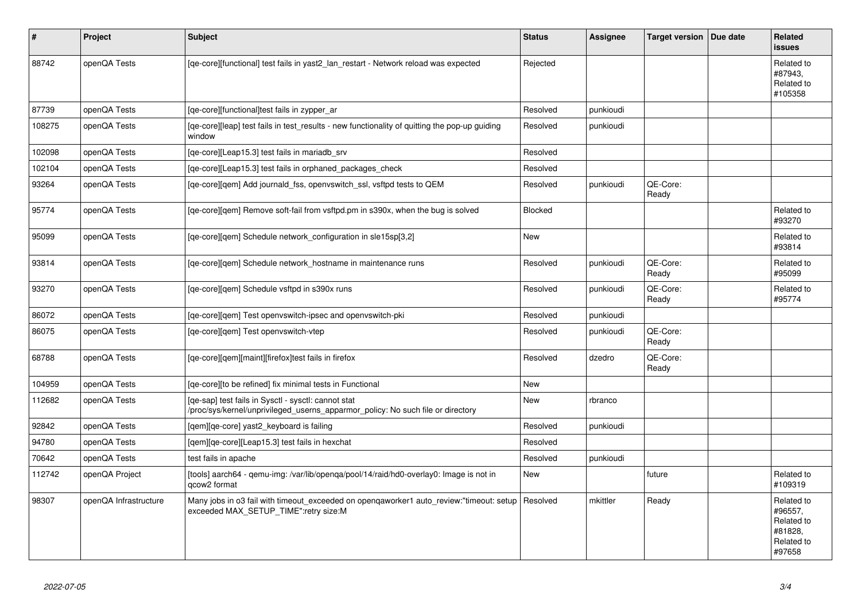| #      | Project               | <b>Subject</b>                                                                                                                         | <b>Status</b> | <b>Assignee</b> | Target version   Due date | Related<br>issues                                                      |
|--------|-----------------------|----------------------------------------------------------------------------------------------------------------------------------------|---------------|-----------------|---------------------------|------------------------------------------------------------------------|
| 88742  | openQA Tests          | [ge-core][functional] test fails in yast2 lan restart - Network reload was expected                                                    | Rejected      |                 |                           | Related to<br>#87943,<br>Related to<br>#105358                         |
| 87739  | openQA Tests          | [qe-core][functional]test fails in zypper_ar                                                                                           | Resolved      | punkioudi       |                           |                                                                        |
| 108275 | openQA Tests          | [ge-core][leap] test fails in test results - new functionality of quitting the pop-up guiding<br>window                                | Resolved      | punkioudi       |                           |                                                                        |
| 102098 | openQA Tests          | [qe-core][Leap15.3] test fails in mariadb_srv                                                                                          | Resolved      |                 |                           |                                                                        |
| 102104 | openQA Tests          | [qe-core][Leap15.3] test fails in orphaned_packages_check                                                                              | Resolved      |                 |                           |                                                                        |
| 93264  | openQA Tests          | [qe-core][qem] Add journald_fss, openvswitch_ssl, vsftpd tests to QEM                                                                  | Resolved      | punkioudi       | QE-Core:<br>Ready         |                                                                        |
| 95774  | openQA Tests          | [qe-core][qem] Remove soft-fail from vsftpd.pm in s390x, when the bug is solved                                                        | Blocked       |                 |                           | Related to<br>#93270                                                   |
| 95099  | openQA Tests          | [qe-core][qem] Schedule network_configuration in sle15sp[3,2]                                                                          | New           |                 |                           | Related to<br>#93814                                                   |
| 93814  | openQA Tests          | [ge-core][gem] Schedule network hostname in maintenance runs                                                                           | Resolved      | punkioudi       | QE-Core:<br>Ready         | Related to<br>#95099                                                   |
| 93270  | openQA Tests          | [qe-core][qem] Schedule vsftpd in s390x runs                                                                                           | Resolved      | punkioudi       | QE-Core:<br>Ready         | Related to<br>#95774                                                   |
| 86072  | openQA Tests          | [ge-core][gem] Test openvswitch-ipsec and openvswitch-pki                                                                              | Resolved      | punkioudi       |                           |                                                                        |
| 86075  | openQA Tests          | [ge-core][gem] Test openvswitch-vtep                                                                                                   | Resolved      | punkioudi       | QE-Core:<br>Ready         |                                                                        |
| 68788  | openQA Tests          | [qe-core][qem][maint][firefox]test fails in firefox                                                                                    | Resolved      | dzedro          | QE-Core:<br>Ready         |                                                                        |
| 104959 | openQA Tests          | [qe-core][to be refined] fix minimal tests in Functional                                                                               | New           |                 |                           |                                                                        |
| 112682 | openQA Tests          | [ge-sap] test fails in Sysctl - sysctl: cannot stat<br>/proc/sys/kernel/unprivileged_userns_apparmor_policy: No such file or directory | New           | rbranco         |                           |                                                                        |
| 92842  | openQA Tests          | [qem][qe-core] yast2_keyboard is failing                                                                                               | Resolved      | punkioudi       |                           |                                                                        |
| 94780  | openQA Tests          | [qem][qe-core][Leap15.3] test fails in hexchat                                                                                         | Resolved      |                 |                           |                                                                        |
| 70642  | openQA Tests          | test fails in apache                                                                                                                   | Resolved      | punkioudi       |                           |                                                                        |
| 112742 | openQA Project        | [tools] aarch64 - gemu-img: /var/lib/openga/pool/14/raid/hd0-overlay0: Image is not in<br>gcow2 format                                 | New           |                 | future                    | Related to<br>#109319                                                  |
| 98307  | openQA Infrastructure | Many jobs in o3 fail with timeout exceeded on opengaworker1 auto review:"timeout: setup<br>exceeded MAX_SETUP_TIME":retry size:M       | Resolved      | mkittler        | Ready                     | Related to<br>#96557.<br>Related to<br>#81828,<br>Related to<br>#97658 |